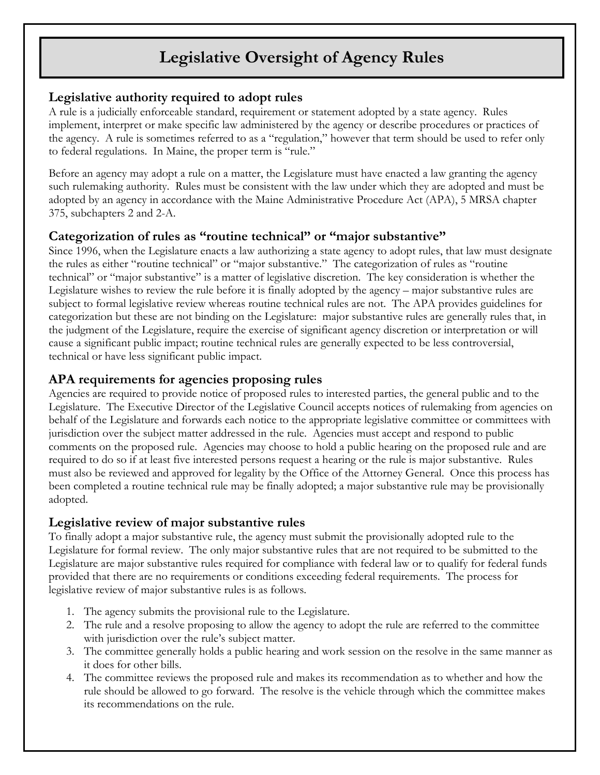# **Legislative Oversight of Agency Rules**

## **Legislative authority required to adopt rules**

A rule is a judicially enforceable standard, requirement or statement adopted by a state agency. Rules implement, interpret or make specific law administered by the agency or describe procedures or practices of the agency. A rule is sometimes referred to as a "regulation," however that term should be used to refer only to federal regulations. In Maine, the proper term is "rule."

Before an agency may adopt a rule on a matter, the Legislature must have enacted a law granting the agency such rulemaking authority. Rules must be consistent with the law under which they are adopted and must be adopted by an agency in accordance with the Maine Administrative Procedure Act (APA), 5 MRSA chapter 375, subchapters 2 and 2-A.

### **Categorization of rules as "routine technical" or "major substantive"**

Since 1996, when the Legislature enacts a law authorizing a state agency to adopt rules, that law must designate the rules as either "routine technical" or "major substantive." The categorization of rules as "routine technical" or "major substantive" is a matter of legislative discretion. The key consideration is whether the Legislature wishes to review the rule before it is finally adopted by the agency – major substantive rules are subject to formal legislative review whereas routine technical rules are not. The APA provides guidelines for categorization but these are not binding on the Legislature: major substantive rules are generally rules that, in the judgment of the Legislature, require the exercise of significant agency discretion or interpretation or will cause a significant public impact; routine technical rules are generally expected to be less controversial, technical or have less significant public impact.

## **APA requirements for agencies proposing rules**

Agencies are required to provide notice of proposed rules to interested parties, the general public and to the Legislature. The Executive Director of the Legislative Council accepts notices of rulemaking from agencies on behalf of the Legislature and forwards each notice to the appropriate legislative committee or committees with jurisdiction over the subject matter addressed in the rule. Agencies must accept and respond to public comments on the proposed rule. Agencies may choose to hold a public hearing on the proposed rule and are required to do so if at least five interested persons request a hearing or the rule is major substantive. Rules must also be reviewed and approved for legality by the Office of the Attorney General. Once this process has been completed a routine technical rule may be finally adopted; a major substantive rule may be provisionally adopted.

#### **Legislative review of major substantive rules**

To finally adopt a major substantive rule, the agency must submit the provisionally adopted rule to the Legislature for formal review. The only major substantive rules that are not required to be submitted to the Legislature are major substantive rules required for compliance with federal law or to qualify for federal funds provided that there are no requirements or conditions exceeding federal requirements. The process for legislative review of major substantive rules is as follows.

- 1. The agency submits the provisional rule to the Legislature.
- 2. The rule and a resolve proposing to allow the agency to adopt the rule are referred to the committee with jurisdiction over the rule's subject matter.
- 3. The committee generally holds a public hearing and work session on the resolve in the same manner as it does for other bills.
- 4. The committee reviews the proposed rule and makes its recommendation as to whether and how the rule should be allowed to go forward. The resolve is the vehicle through which the committee makes its recommendations on the rule.